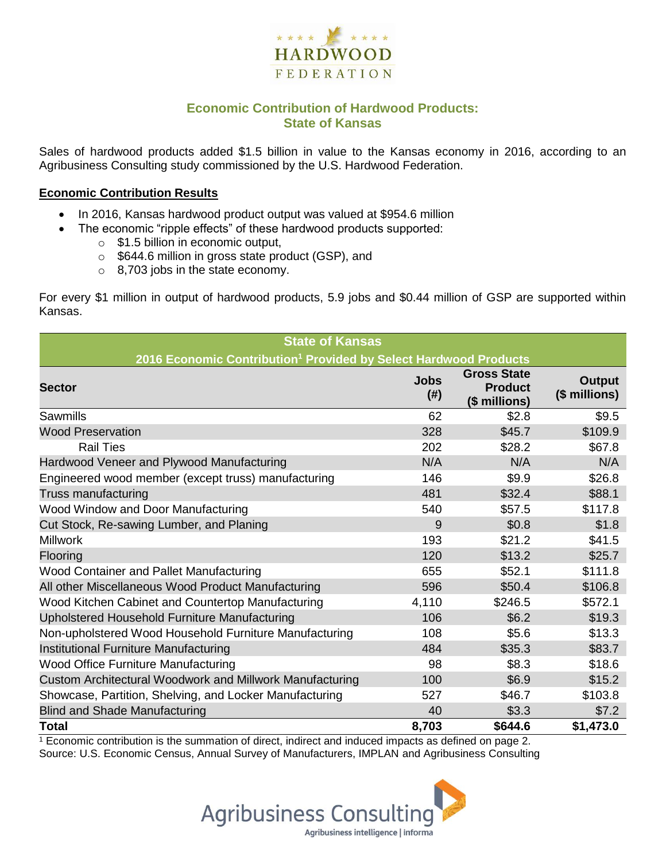

### **Economic Contribution of Hardwood Products: State of Kansas**

Sales of hardwood products added \$1.5 billion in value to the Kansas economy in 2016, according to an Agribusiness Consulting study commissioned by the U.S. Hardwood Federation.

#### **Economic Contribution Results**

- In 2016, Kansas hardwood product output was valued at \$954.6 million
	- The economic "ripple effects" of these hardwood products supported:
		- $\circ$  \$1.5 billion in economic output,
		- o \$644.6 million in gross state product (GSP), and
		- o 8,703 jobs in the state economy.

For every \$1 million in output of hardwood products, 5.9 jobs and \$0.44 million of GSP are supported within Kansas.

| <b>State of Kansas</b>                                                       |                          |                                                       |                                |  |  |  |
|------------------------------------------------------------------------------|--------------------------|-------------------------------------------------------|--------------------------------|--|--|--|
| 2016 Economic Contribution <sup>1</sup> Provided by Select Hardwood Products |                          |                                                       |                                |  |  |  |
| <b>Sector</b>                                                                | <b>Jobs</b><br>$($ # $)$ | <b>Gross State</b><br><b>Product</b><br>(\$ millions) | <b>Output</b><br>(\$ millions) |  |  |  |
| Sawmills                                                                     | 62                       | \$2.8                                                 | \$9.5                          |  |  |  |
| <b>Wood Preservation</b>                                                     | 328                      | \$45.7                                                | \$109.9                        |  |  |  |
| <b>Rail Ties</b>                                                             | 202                      | \$28.2                                                | \$67.8                         |  |  |  |
| Hardwood Veneer and Plywood Manufacturing                                    | N/A                      | N/A                                                   | N/A                            |  |  |  |
| Engineered wood member (except truss) manufacturing                          | 146                      | \$9.9                                                 | \$26.8                         |  |  |  |
| Truss manufacturing                                                          | 481                      | \$32.4                                                | \$88.1                         |  |  |  |
| Wood Window and Door Manufacturing                                           | 540                      | \$57.5                                                | \$117.8                        |  |  |  |
| Cut Stock, Re-sawing Lumber, and Planing                                     | 9                        | \$0.8                                                 | \$1.8                          |  |  |  |
| <b>Millwork</b>                                                              | 193                      | \$21.2                                                | \$41.5                         |  |  |  |
| Flooring                                                                     | 120                      | \$13.2                                                | \$25.7                         |  |  |  |
| Wood Container and Pallet Manufacturing                                      | 655                      | \$52.1                                                | \$111.8                        |  |  |  |
| All other Miscellaneous Wood Product Manufacturing                           | 596                      | \$50.4                                                | \$106.8                        |  |  |  |
| Wood Kitchen Cabinet and Countertop Manufacturing                            | 4,110                    | \$246.5                                               | \$572.1                        |  |  |  |
| Upholstered Household Furniture Manufacturing                                | 106                      | \$6.2                                                 | \$19.3                         |  |  |  |
| Non-upholstered Wood Household Furniture Manufacturing                       | 108                      | \$5.6                                                 | \$13.3                         |  |  |  |
| Institutional Furniture Manufacturing                                        | 484                      | \$35.3                                                | \$83.7                         |  |  |  |
| <b>Wood Office Furniture Manufacturing</b>                                   | 98                       | \$8.3                                                 | \$18.6                         |  |  |  |
| Custom Architectural Woodwork and Millwork Manufacturing                     | 100                      | \$6.9                                                 | \$15.2                         |  |  |  |
| Showcase, Partition, Shelving, and Locker Manufacturing                      | 527                      | \$46.7                                                | \$103.8                        |  |  |  |
| <b>Blind and Shade Manufacturing</b>                                         | 40                       | \$3.3                                                 | \$7.2                          |  |  |  |
| <b>Total</b>                                                                 | 8,703                    | \$644.6                                               | \$1,473.0                      |  |  |  |

 $1$  Economic contribution is the summation of direct, indirect and induced impacts as defined on page 2. Source: U.S. Economic Census, Annual Survey of Manufacturers, IMPLAN and Agribusiness Consulting